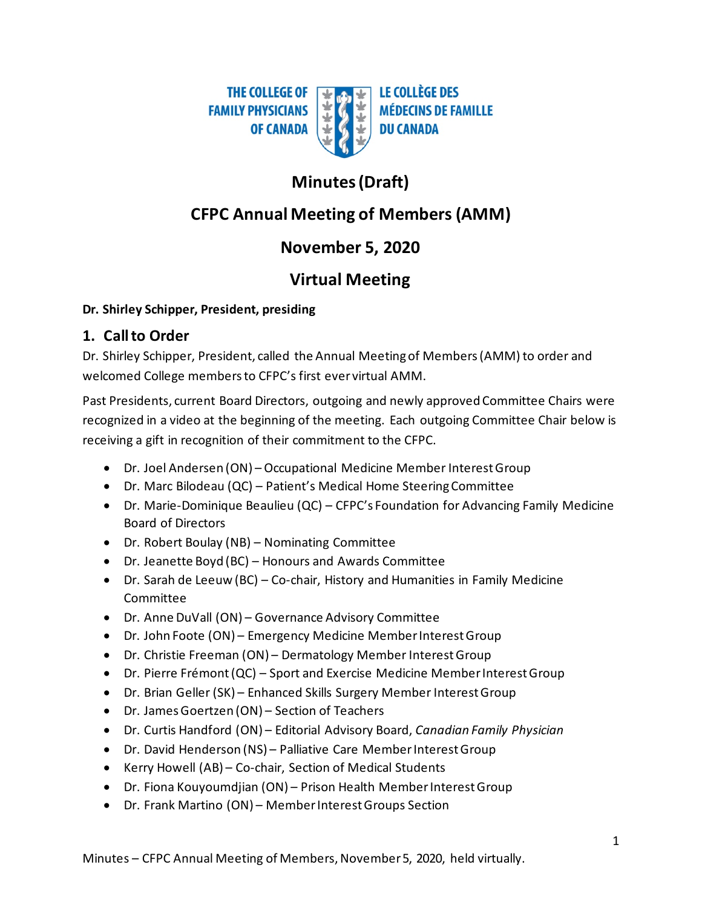

# **Minutes (Draft)**

# **CFPC Annual Meeting of Members (AMM)**

# **November 5, 2020**

# **Virtual Meeting**

### **Dr. Shirley Schipper, President, presiding**

## **1. Call to Order**

Dr. Shirley Schipper, President, called the Annual Meeting of Members (AMM) to order and welcomed College members to CFPC's first ever virtual AMM.

Past Presidents, current Board Directors, outgoing and newly approved Committee Chairs were recognized in a video at the beginning of the meeting. Each outgoing Committee Chair below is receiving a gift in recognition of their commitment to the CFPC.

- Dr. Joel Andersen (ON) Occupational Medicine Member Interest Group
- Dr. Marc Bilodeau (QC) Patient's Medical Home Steering Committee
- Dr. Marie-Dominique Beaulieu (QC) CFPC's Foundation for Advancing Family Medicine Board of Directors
- Dr. Robert Boulay (NB) Nominating Committee
- Dr. Jeanette Boyd (BC) Honours and Awards Committee
- Dr. Sarah de Leeuw (BC) Co-chair, History and Humanities in Family Medicine Committee
- Dr. Anne DuVall (ON) Governance Advisory Committee
- Dr. John Foote (ON) Emergency Medicine Member Interest Group
- Dr. Christie Freeman (ON) Dermatology Member Interest Group
- Dr. Pierre Frémont (QC) Sport and Exercise Medicine Member Interest Group
- Dr. Brian Geller (SK) Enhanced Skills Surgery Member Interest Group
- Dr. James Goertzen (ON) Section of Teachers
- Dr. Curtis Handford (ON) Editorial Advisory Board, *Canadian Family Physician*
- Dr. David Henderson (NS) Palliative Care Member Interest Group
- Kerry Howell (AB) Co-chair, Section of Medical Students
- Dr. Fiona Kouyoumdjian (ON) Prison Health Member Interest Group
- Dr. Frank Martino (ON) Member Interest Groups Section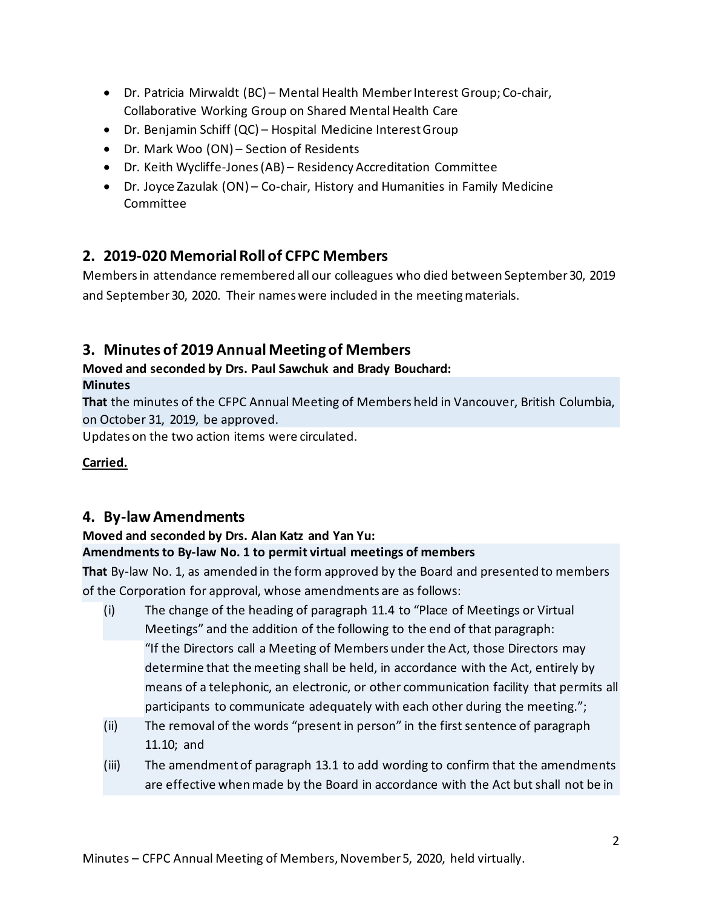- Dr. Patricia Mirwaldt (BC) Mental Health Member Interest Group; Co-chair, Collaborative Working Group on Shared Mental Health Care
- Dr. Benjamin Schiff (QC) Hospital Medicine Interest Group
- Dr. Mark Woo (ON) Section of Residents
- Dr. Keith Wycliffe-Jones (AB) Residency Accreditation Committee
- Dr. Joyce Zazulak (ON) Co-chair, History and Humanities in Family Medicine Committee

## **2. 2019-020 Memorial Roll of CFPC Members**

Members in attendance remembered all our colleagues who died between September 30, 2019 and September 30, 2020. Their names were included in the meeting materials.

## **3. Minutes of 2019 Annual Meeting of Members**

**Moved and seconded by Drs. Paul Sawchuk and Brady Bouchard:**

#### **Minutes**

**That** the minutes of the CFPC Annual Meeting of Members held in Vancouver, British Columbia, on October 31, 2019, be approved.

Updates on the two action items were circulated.

### **Carried.**

### **4. By-law Amendments**

### **Moved and seconded by Drs. Alan Katz and Yan Yu:**

### **Amendments to By-law No. 1 to permit virtual meetings of members**

**That** By-law No. 1, as amended in the form approved by the Board and presented to members of the Corporation for approval, whose amendments are as follows:

- (i) The change of the heading of paragraph 11.4 to "Place of Meetings or Virtual Meetings" and the addition of the following to the end of that paragraph: "If the Directors call a Meeting of Members under the Act, those Directors may determine that the meeting shall be held, in accordance with the Act, entirely by means of a telephonic, an electronic, or other communication facility that permits all participants to communicate adequately with each other during the meeting.";
- (ii) The removal of the words "present in person" in the first sentence of paragraph 11.10; and
- (iii) The amendment of paragraph 13.1 to add wording to confirm that the amendments are effective when made by the Board in accordance with the Act but shall not be in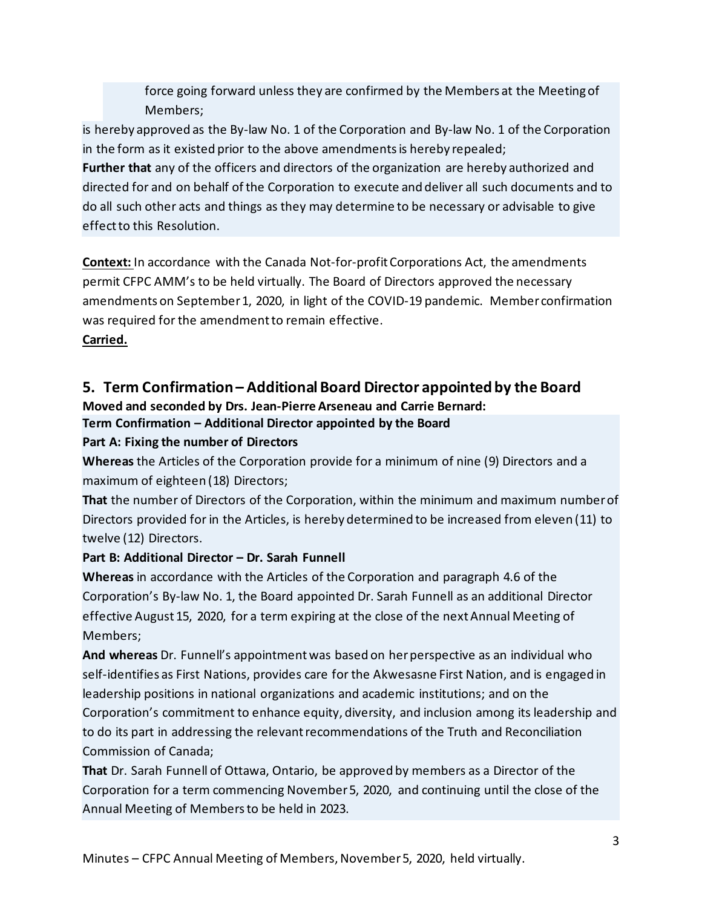force going forward unless they are confirmed by the Members at the Meeting of Members;

is hereby approved as the By-law No. 1 of the Corporation and By-law No. 1 of the Corporation in the form as it existed prior to the above amendments is hereby repealed;

**Further that** any of the officers and directors of the organization are hereby authorized and directed for and on behalf of the Corporation to execute and deliver all such documents and to do all such other acts and things as they may determine to be necessary or advisable to give effect to this Resolution.

**Context:** In accordance with the Canada Not-for-profit Corporations Act, the amendments permit CFPC AMM's to be held virtually. The Board of Directors approved the necessary amendments on September 1, 2020, in light of the COVID-19 pandemic. Member confirmation was required for the amendment to remain effective.

#### **Carried.**

# **5. Term Confirmation – Additional Board Director appointed by the Board Moved and seconded by Drs. Jean-Pierre Arseneau and Carrie Bernard:**

### **Term Confirmation – Additional Director appointed by the Board**

#### **Part A: Fixing the number of Directors**

**Whereas** the Articles of the Corporation provide for a minimum of nine (9) Directors and a maximum of eighteen (18) Directors;

**That** the number of Directors of the Corporation, within the minimum and maximum number of Directors provided for in the Articles, is hereby determined to be increased from eleven (11) to twelve (12) Directors.

#### **Part B: Additional Director – Dr. Sarah Funnell**

**Whereas** in accordance with the Articles of the Corporation and paragraph 4.6 of the Corporation's By-law No. 1, the Board appointed Dr. Sarah Funnell as an additional Director effective August 15, 2020, for a term expiring at the close of the next Annual Meeting of Members;

**And whereas** Dr. Funnell's appointment was based on her perspective as an individual who self-identifies as First Nations, provides care for the Akwesasne First Nation, and is engaged in leadership positions in national organizations and academic institutions; and on the Corporation's commitment to enhance equity, diversity, and inclusion among its leadership and to do its part in addressing the relevant recommendations of the Truth and Reconciliation Commission of Canada;

**That** Dr. Sarah Funnell of Ottawa, Ontario, be approved by members as a Director of the Corporation for a term commencing November 5, 2020, and continuing until the close of the Annual Meeting of Members to be held in 2023.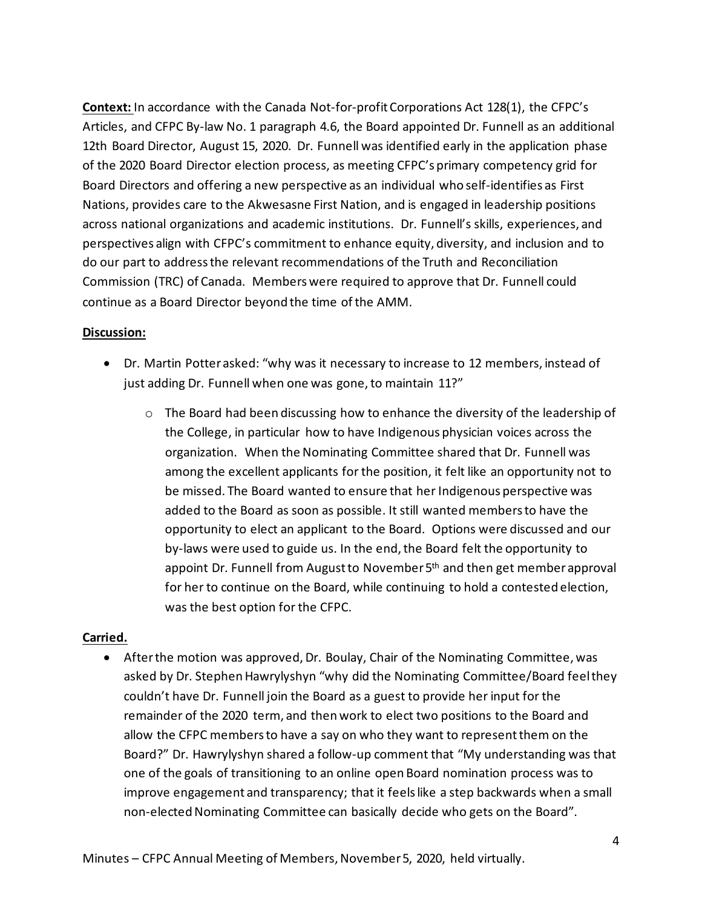**Context:** In accordance with the Canada Not-for-profit Corporations Act 128(1), the CFPC's Articles, and CFPC By-law No. 1 paragraph 4.6, the Board appointed Dr. Funnell as an additional 12th Board Director, August 15, 2020. Dr. Funnell was identified early in the application phase of the 2020 Board Director election process, as meeting CFPC's primary competency grid for Board Directors and offering a new perspective as an individual who self-identifies as First Nations, provides care to the Akwesasne First Nation, and is engaged in leadership positions across national organizations and academic institutions. Dr. Funnell's skills, experiences, and perspectives align with CFPC's commitment to enhance equity, diversity, and inclusion and to do our part to address the relevant recommendations of the Truth and Reconciliation Commission (TRC) of Canada. Members were required to approve that Dr. Funnell could continue as a Board Director beyond the time of the AMM.

#### **Discussion:**

- Dr. Martin Potter asked: "why was it necessary to increase to 12 members, instead of just adding Dr. Funnell when one was gone, to maintain 11?"
	- $\circ$  The Board had been discussing how to enhance the diversity of the leadership of the College, in particular how to have Indigenous physician voices across the organization. When the Nominating Committee shared that Dr. Funnell was among the excellent applicants for the position, it felt like an opportunity not to be missed. The Board wanted to ensure that her Indigenous perspective was added to the Board as soon as possible. It still wanted members to have the opportunity to elect an applicant to the Board. Options were discussed and our by-laws were used to guide us. In the end, the Board felt the opportunity to appoint Dr. Funnell from August to November 5<sup>th</sup> and then get member approval for her to continue on the Board, while continuing to hold a contested election, was the best option for the CFPC.

#### **Carried.**

• After the motion was approved, Dr. Boulay, Chair of the Nominating Committee, was asked by Dr. Stephen Hawrylyshyn "why did the Nominating Committee/Board feel they couldn't have Dr. Funnell join the Board as a guest to provide her input for the remainder of the 2020 term, and then work to elect two positions to the Board and allow the CFPC members to have a say on who they want to represent them on the Board?" Dr. Hawrylyshyn shared a follow-up comment that "My understanding was that one of the goals of transitioning to an online open Board nomination process was to improve engagement and transparency; that it feels like a step backwards when a small non-elected Nominating Committee can basically decide who gets on the Board".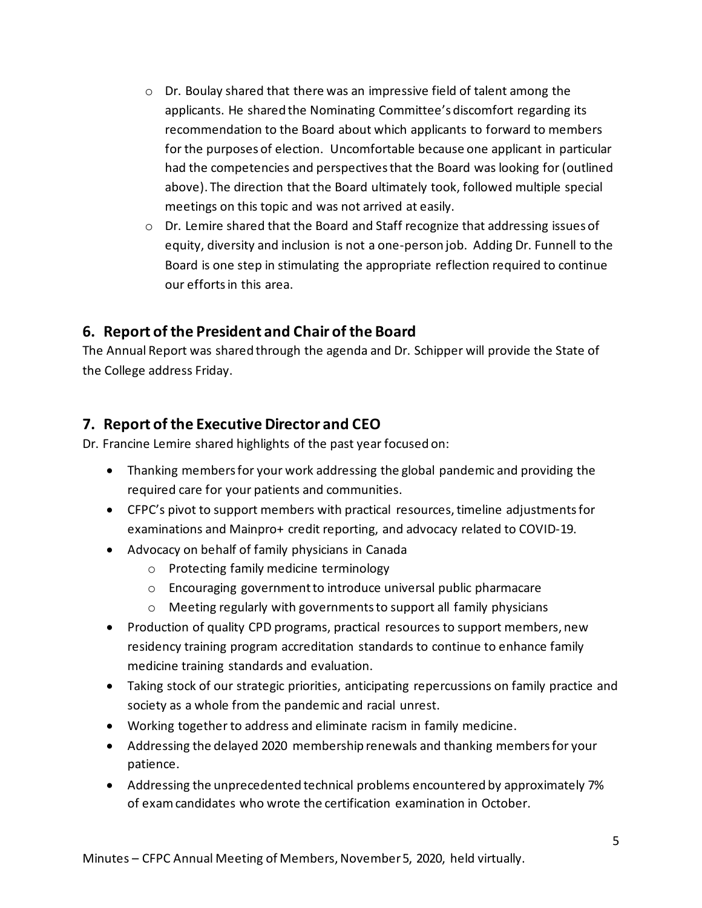- $\circ$  Dr. Boulay shared that there was an impressive field of talent among the applicants. He shared the Nominating Committee's discomfort regarding its recommendation to the Board about which applicants to forward to members for the purposes of election. Uncomfortable because one applicant in particular had the competencies and perspectives that the Board was looking for (outlined above). The direction that the Board ultimately took, followed multiple special meetings on this topic and was not arrived at easily.
- o Dr. Lemire shared that the Board and Staff recognize that addressing issues of equity, diversity and inclusion is not a one-person job. Adding Dr. Funnell to the Board is one step in stimulating the appropriate reflection required to continue our efforts in this area.

### **6. Report of the President and Chair of the Board**

The Annual Report was shared through the agenda and Dr. Schipper will provide the State of the College address Friday.

## **7. Report of the Executive Director and CEO**

Dr. Francine Lemire shared highlights of the past year focused on:

- Thanking membersfor your work addressing the global pandemic and providing the required care for your patients and communities.
- CFPC's pivot to support members with practical resources, timeline adjustments for examinations and Mainpro+ credit reporting, and advocacy related to COVID-19.
- Advocacy on behalf of family physicians in Canada
	- o Protecting family medicine terminology
	- o Encouraging government to introduce universal public pharmacare
	- o Meeting regularly with governments to support all family physicians
- Production of quality CPD programs, practical resources to support members, new residency training program accreditation standards to continue to enhance family medicine training standards and evaluation.
- Taking stock of our strategic priorities, anticipating repercussions on family practice and society as a whole from the pandemic and racial unrest.
- Working together to address and eliminate racism in family medicine.
- Addressing the delayed 2020 membership renewals and thanking members for your patience.
- Addressing the unprecedented technical problems encountered by approximately 7% of exam candidates who wrote the certification examination in October.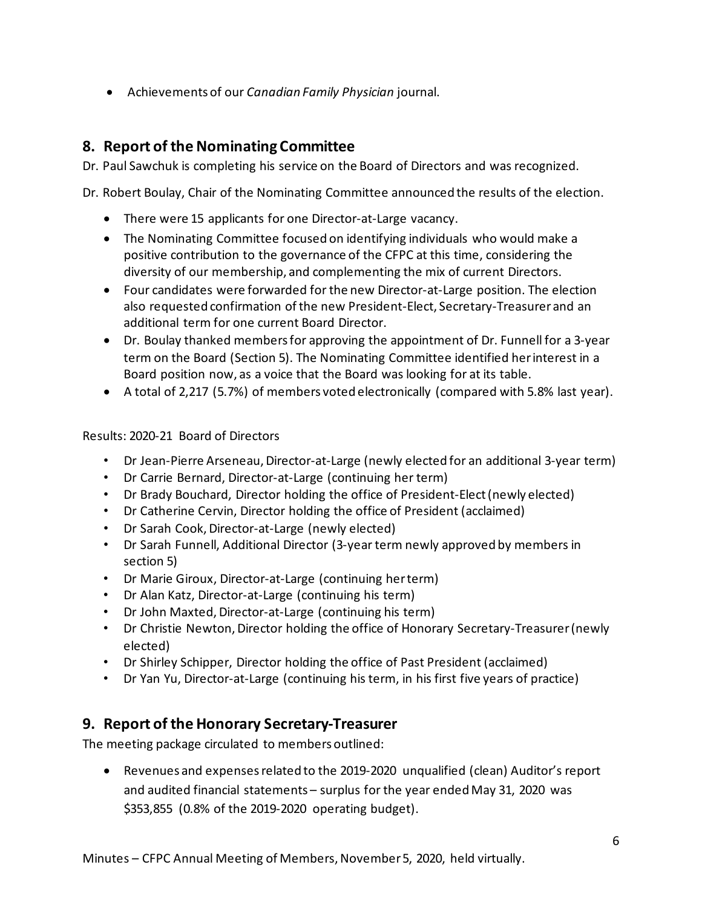• Achievements of our *Canadian Family Physician* journal.

### **8. Report of the Nominating Committee**

Dr. Paul Sawchuk is completing his service on the Board of Directors and was recognized.

Dr. Robert Boulay, Chair of the Nominating Committee announced the results of the election.

- There were 15 applicants for one Director-at-Large vacancy.
- The Nominating Committee focused on identifying individuals who would make a positive contribution to the governance of the CFPC at this time, considering the diversity of our membership, and complementing the mix of current Directors.
- Four candidates were forwarded for the new Director-at-Large position. The election also requested confirmation of the new President-Elect, Secretary-Treasurer and an additional term for one current Board Director.
- Dr. Boulay thanked members for approving the appointment of Dr. Funnell for a 3-year term on the Board (Section 5). The Nominating Committee identified her interest in a Board position now, as a voice that the Board was looking for at its table.
- A total of 2,217 (5.7%) of members voted electronically (compared with 5.8% last year).

Results: 2020-21 Board of Directors

- Dr Jean-Pierre Arseneau, Director-at-Large (newly elected for an additional 3-year term)
- Dr Carrie Bernard, Director-at-Large (continuing her term)
- Dr Brady Bouchard, Director holding the office of President-Elect (newly elected)
- Dr Catherine Cervin, Director holding the office of President (acclaimed)
- Dr Sarah Cook, Director-at-Large (newly elected)
- Dr Sarah Funnell, Additional Director (3-year term newly approved by members in section 5)
- Dr Marie Giroux, Director-at-Large (continuing her term)
- Dr Alan Katz, Director-at-Large (continuing his term)
- Dr John Maxted, Director-at-Large (continuing his term)
- Dr Christie Newton, Director holding the office of Honorary Secretary-Treasurer (newly elected)
- Dr Shirley Schipper, Director holding the office of Past President (acclaimed)
- Dr Yan Yu, Director-at-Large (continuing his term, in his first five years of practice)

### **9. Report of the Honorary Secretary-Treasurer**

The meeting package circulated to members outlined:

• Revenues and expenses related to the 2019-2020 unqualified (clean) Auditor's report and audited financial statements – surplus for the year ended May 31, 2020 was \$353,855 (0.8% of the 2019-2020 operating budget).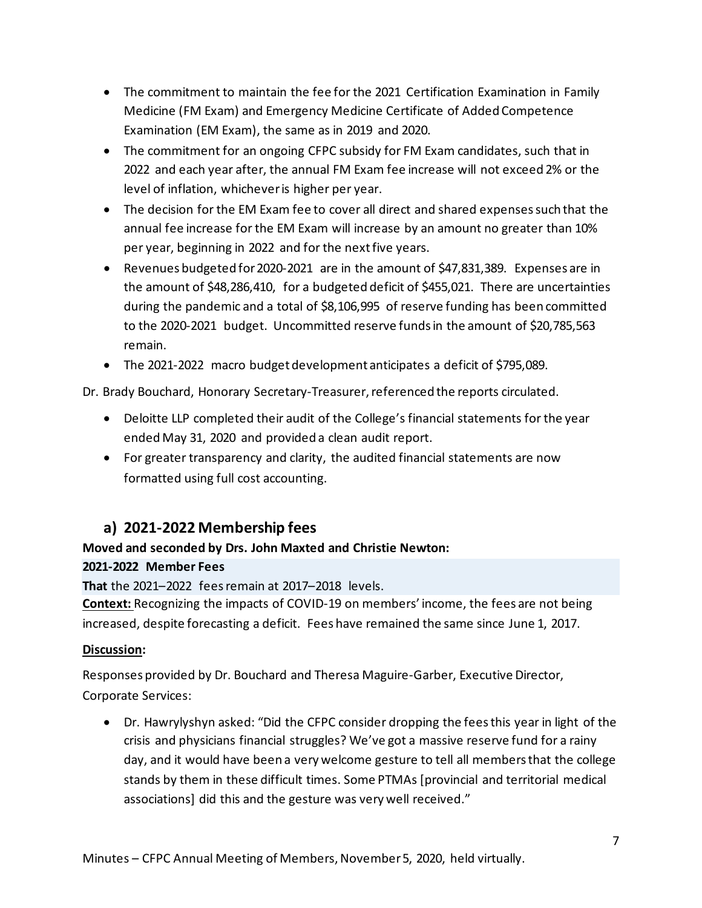- The commitment to maintain the fee for the 2021 Certification Examination in Family Medicine (FM Exam) and Emergency Medicine Certificate of Added Competence Examination (EM Exam), the same as in 2019 and 2020.
- The commitment for an ongoing CFPC subsidy for FM Exam candidates, such that in 2022 and each year after, the annual FM Exam fee increase will not exceed 2% or the level of inflation, whichever is higher per year.
- The decision for the EM Exam fee to cover all direct and shared expenses such that the annual fee increase for the EM Exam will increase by an amount no greater than 10% per year, beginning in 2022 and for the next five years.
- Revenues budgeted for 2020-2021 are in the amount of \$47,831,389. Expenses are in the amount of \$48,286,410, for a budgeted deficit of \$455,021. There are uncertainties during the pandemic and a total of \$8,106,995 of reserve funding has been committed to the 2020-2021 budget. Uncommitted reserve funds in the amount of \$20,785,563 remain.
- The 2021-2022 macro budget development anticipates a deficit of \$795,089.

Dr. Brady Bouchard, Honorary Secretary-Treasurer, referenced the reports circulated.

- Deloitte LLP completed their audit of the College's financial statements for the year ended May 31, 2020 and provided a clean audit report.
- For greater transparency and clarity, the audited financial statements are now formatted using full cost accounting.

### **a) 2021-2022 Membership fees**

### **Moved and seconded by Drs. John Maxted and Christie Newton:**

### **2021-2022 Member Fees**

**That** the 2021–2022 fees remain at 2017–2018 levels.

**Context:** Recognizing the impacts of COVID-19 on members' income, the fees are not being increased, despite forecasting a deficit. Fees have remained the same since June 1, 2017.

### **Discussion:**

Responses provided by Dr. Bouchard and Theresa Maguire-Garber, Executive Director, Corporate Services:

• Dr. Hawrylyshyn asked: "Did the CFPC consider dropping the fees this year in light of the crisis and physicians financial struggles? We've got a massive reserve fund for a rainy day, and it would have been a very welcome gesture to tell all members that the college stands by them in these difficult times. Some PTMAs [provincial and territorial medical associations] did this and the gesture was very well received."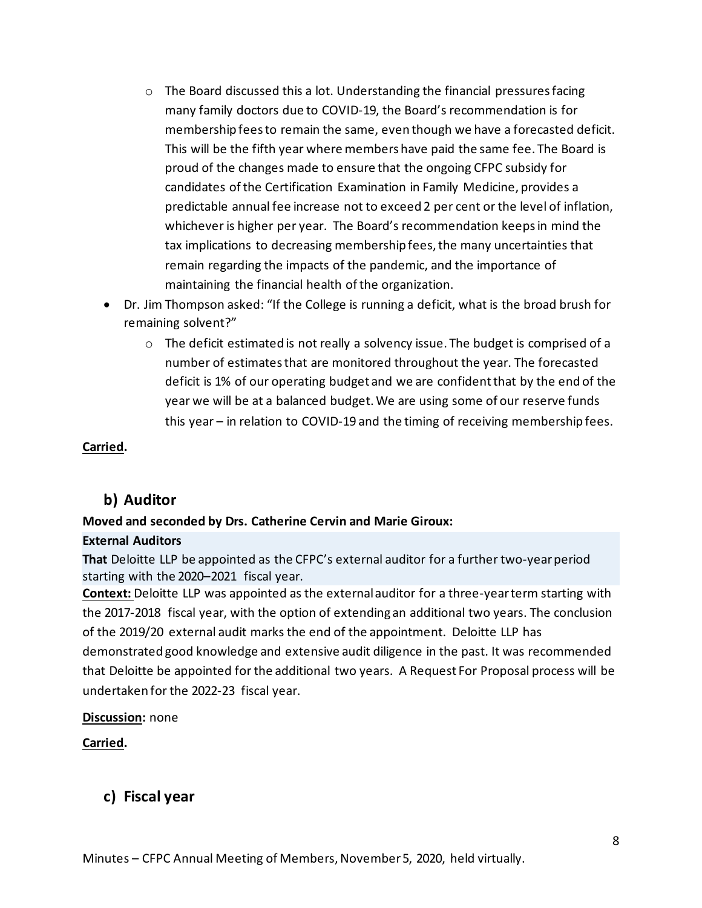- $\circ$  The Board discussed this a lot. Understanding the financial pressures facing many family doctors due to COVID-19, the Board's recommendation is for membership fees to remain the same, even though we have a forecasted deficit. This will be the fifth year where members have paid the same fee. The Board is proud of the changes made to ensure that the ongoing CFPC subsidy for candidates of the Certification Examination in Family Medicine, provides a predictable annual fee increase not to exceed 2 per cent or the level of inflation, whichever is higher per year. The Board's recommendation keeps in mind the tax implications to decreasing membership fees, the many uncertainties that remain regarding the impacts of the pandemic, and the importance of maintaining the financial health of the organization.
- Dr. Jim Thompson asked: "If the College is running a deficit, what is the broad brush for remaining solvent?"
	- o The deficit estimated is not really a solvency issue. The budget is comprised of a number of estimates that are monitored throughout the year. The forecasted deficit is 1% of our operating budget and we are confident that by the end of the year we will be at a balanced budget. We are using some of our reserve funds this year – in relation to COVID-19 and the timing of receiving membership fees.

#### **Carried.**

### **b) Auditor**

#### **Moved and seconded by Drs. Catherine Cervin and Marie Giroux:**

#### **External Auditors**

**That** Deloitte LLP be appointed as the CFPC's external auditor for a further two-year period starting with the 2020–2021 fiscal year.

**Context:** Deloitte LLP was appointed as the external auditor for a three-year term starting with the 2017-2018 fiscal year, with the option of extending an additional two years. The conclusion of the 2019/20 external audit marks the end of the appointment. Deloitte LLP has

demonstrated good knowledge and extensive audit diligence in the past. It was recommended that Deloitte be appointed for the additional two years. A Request For Proposal process will be undertaken for the 2022-23 fiscal year.

#### **Discussion:** none

### **Carried.**

## **c) Fiscal year**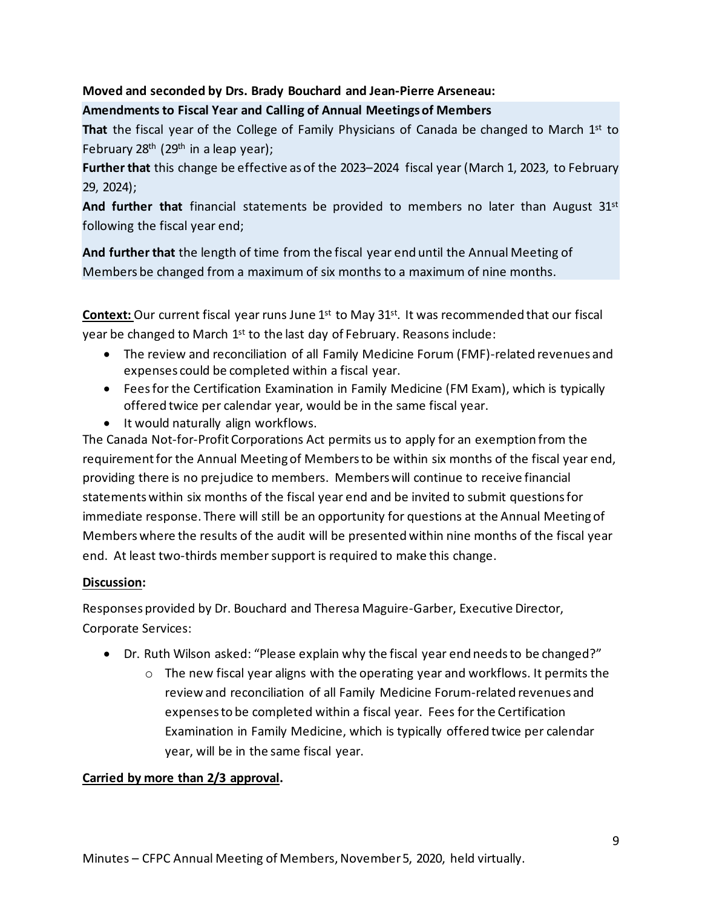#### **Moved and seconded by Drs. Brady Bouchard and Jean-Pierre Arseneau:**

#### **Amendments to Fiscal Year and Calling of Annual Meetings of Members**

**That** the fiscal year of the College of Family Physicians of Canada be changed to March 1st to February  $28<sup>th</sup>$  (29<sup>th</sup> in a leap year);

**Further that** this change be effective as of the 2023–2024 fiscal year (March 1, 2023, to February 29, 2024);

And further that financial statements be provided to members no later than August 31<sup>st</sup> following the fiscal year end;

**And further that** the length of time from the fiscal year end until the Annual Meeting of Members be changed from a maximum of six months to a maximum of nine months.

Context: Our current fiscal year runs June 1<sup>st</sup> to May 31<sup>st</sup>. It was recommended that our fiscal year be changed to March 1<sup>st</sup> to the last day of February. Reasons include:

- The review and reconciliation of all Family Medicine Forum (FMF)-related revenues and expenses could be completed within a fiscal year.
- Fees for the Certification Examination in Family Medicine (FM Exam), which is typically offered twice per calendar year, would be in the same fiscal year.
- It would naturally align workflows.

The Canada Not-for-Profit Corporations Act permits us to apply for an exemption from the requirement for the Annual Meeting of Members to be within six months of the fiscal year end, providing there is no prejudice to members. Memberswill continue to receive financial statements within six months of the fiscal year end and be invited to submit questions for immediate response. There will still be an opportunity for questions at the Annual Meeting of Members where the results of the audit will be presented within nine months of the fiscal year end. At least two-thirds membersupport is required to make this change.

#### **Discussion:**

Responses provided by Dr. Bouchard and Theresa Maguire-Garber, Executive Director, Corporate Services:

- Dr. Ruth Wilson asked: "Please explain why the fiscal year end needs to be changed?"
	- $\circ$  The new fiscal year aligns with the operating year and workflows. It permits the review and reconciliation of all Family Medicine Forum-related revenues and expenses to be completed within a fiscal year. Fees for the Certification Examination in Family Medicine, which is typically offered twice per calendar year, will be in the same fiscal year.

#### **Carried by more than 2/3 approval.**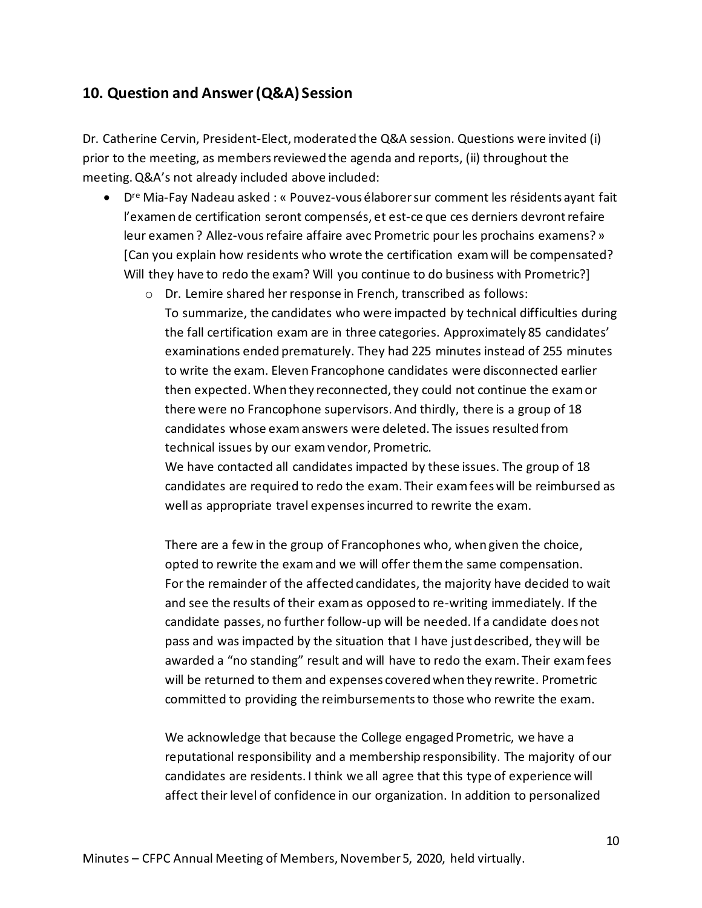### **10. Question and Answer (Q&A) Session**

Dr. Catherine Cervin, President-Elect, moderated the Q&A session. Questions were invited (i) prior to the meeting, as members reviewed the agenda and reports, (ii) throughout the meeting. Q&A's not already included above included:

- Dre Mia-Fay Nadeau asked : « Pouvez-vous élaborer sur comment les résidents ayant fait l'examen de certification seront compensés, et est-ce que ces derniers devront refaire leur examen ? Allez-vous refaire affaire avec Prometric pour les prochains examens? » [Can you explain how residents who wrote the certification exam will be compensated? Will they have to redo the exam? Will you continue to do business with Prometric?]
	- o Dr. Lemire shared her response in French, transcribed as follows: To summarize, the candidates who were impacted by technical difficulties during the fall certification exam are in three categories. Approximately 85 candidates' examinations ended prematurely. They had 225 minutes instead of 255 minutes to write the exam. Eleven Francophone candidates were disconnected earlier then expected. When they reconnected, they could not continue the exam or there were no Francophone supervisors. And thirdly, there is a group of 18 candidates whose exam answers were deleted. The issues resulted from technical issues by our exam vendor, Prometric.

We have contacted all candidates impacted by these issues. The group of 18 candidates are required to redo the exam. Their exam fees will be reimbursed as well as appropriate travel expenses incurred to rewrite the exam.

There are a few in the group of Francophones who, when given the choice, opted to rewrite the exam and we will offer them the same compensation. For the remainder of the affected candidates, the majority have decided to wait and see the results of their exam as opposed to re-writing immediately. If the candidate passes, no further follow-up will be needed. If a candidate does not pass and was impacted by the situation that I have just described, they will be awarded a "no standing" result and will have to redo the exam. Their exam fees will be returned to them and expenses covered when they rewrite. Prometric committed to providing the reimbursements to those who rewrite the exam.

We acknowledge that because the College engaged Prometric, we have a reputational responsibility and a membership responsibility. The majority of our candidates are residents. I think we all agree that this type of experience will affect their level of confidence in our organization. In addition to personalized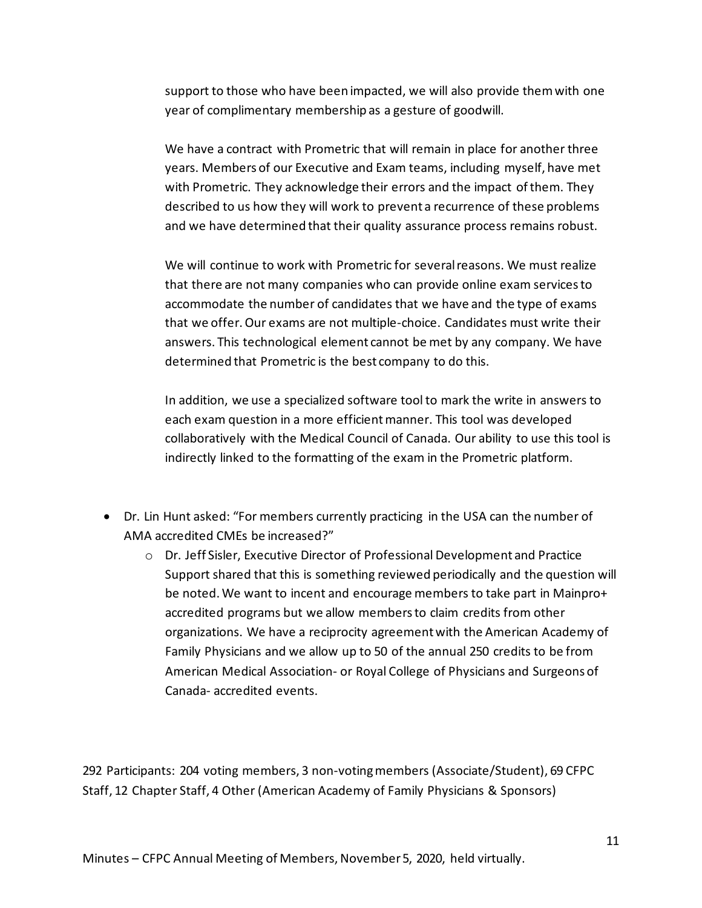support to those who have been impacted, we will also provide them with one year of complimentary membership as a gesture of goodwill.

We have a contract with Prometric that will remain in place for another three years. Members of our Executive and Exam teams, including myself, have met with Prometric. They acknowledge their errors and the impact of them. They described to us how they will work to prevent a recurrence of these problems and we have determined that their quality assurance process remains robust.

We will continue to work with Prometric for several reasons. We must realize that there are not many companies who can provide online exam services to accommodate the number of candidates that we have and the type of exams that we offer. Our exams are not multiple-choice. Candidates must write their answers. This technological element cannot be met by any company. We have determined that Prometric is the best company to do this.

In addition, we use a specialized software tool to mark the write in answers to each exam question in a more efficient manner. This tool was developed collaboratively with the Medical Council of Canada. Our ability to use this tool is indirectly linked to the formatting of the exam in the Prometric platform.

- Dr. Lin Hunt asked: "For members currently practicing in the USA can the number of AMA accredited CMEs be increased?"
	- o Dr. Jeff Sisler, Executive Director of Professional Development and Practice Support shared that this is something reviewed periodically and the question will be noted. We want to incent and encourage members to take part in Mainpro+ accredited programs but we allow members to claim credits from other organizations. We have a reciprocity agreement with the American Academy of Family Physicians and we allow up to 50 of the annual 250 credits to be from American Medical Association- or Royal College of Physicians and Surgeons of Canada- accredited events.

292 Participants: 204 voting members, 3 non-voting members (Associate/Student), 69 CFPC Staff, 12 Chapter Staff, 4 Other (American Academy of Family Physicians & Sponsors)